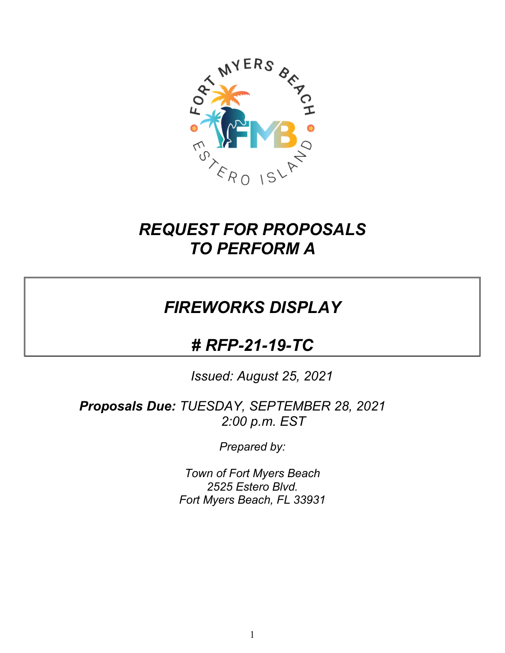

# *REQUEST FOR PROPOSALS TO PERFORM A*

# *FIREWORKS DISPLAY*

# *# RFP-21-19-TC*

*Issued: August 25, 2021*

*Proposals Due: TUESDAY, SEPTEMBER 28, 2021 2:00 p.m. EST*

*Prepared by:*

*Town of Fort Myers Beach 2525 Estero Blvd. Fort Myers Beach, FL 33931*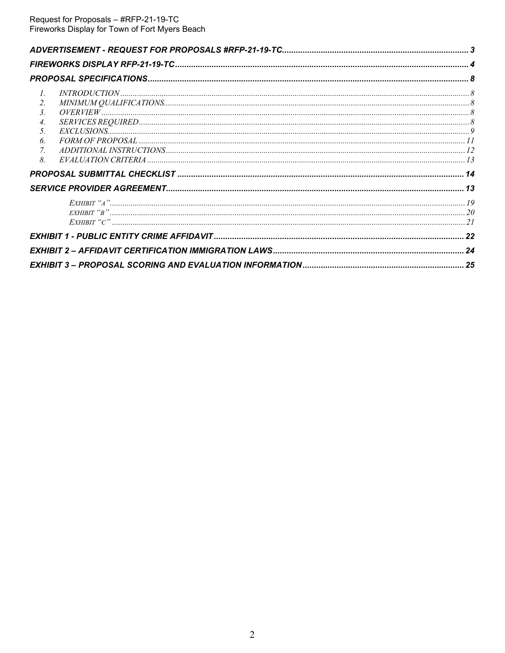| $\mathcal{I}$ .                          |  |
|------------------------------------------|--|
| $\it MINIMUM\ QUALIFICATION S. 88$<br>2. |  |
| $\mathfrak{Z}$ .                         |  |
| $\overline{4}$ .                         |  |
| 5.                                       |  |
| 6.                                       |  |
| 7.                                       |  |
| 8.                                       |  |
|                                          |  |
|                                          |  |
|                                          |  |
|                                          |  |
|                                          |  |
|                                          |  |
|                                          |  |
|                                          |  |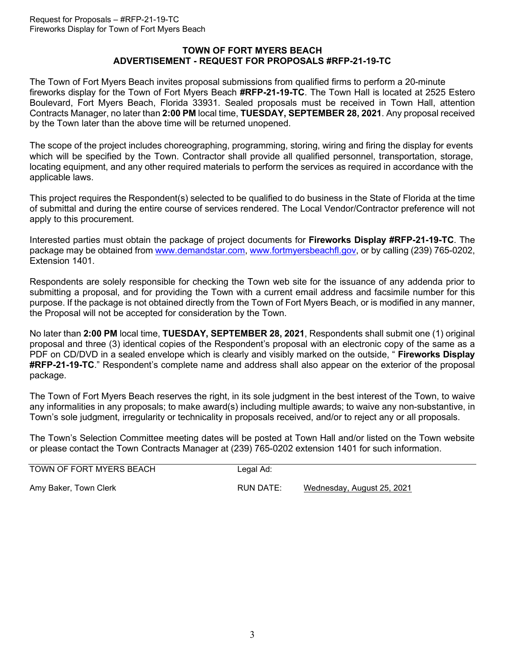#### **TOWN OF FORT MYERS BEACH ADVERTISEMENT - REQUEST FOR PROPOSALS #RFP-21-19-TC**

<span id="page-2-0"></span>The Town of Fort Myers Beach invites proposal submissions from qualified firms to perform a 20-minute fireworks display for the Town of Fort Myers Beach **#RFP-21-19-TC**. The Town Hall is located at 2525 Estero Boulevard, Fort Myers Beach, Florida 33931. Sealed proposals must be received in Town Hall, attention Contracts Manager, no later than **2:00 PM** local time, **TUESDAY, SEPTEMBER 28, 2021**. Any proposal received by the Town later than the above time will be returned unopened.

The scope of the project includes choreographing, programming, storing, wiring and firing the display for events which will be specified by the Town. Contractor shall provide all qualified personnel, transportation, storage, locating equipment, and any other required materials to perform the services as required in accordance with the applicable laws.

This project requires the Respondent(s) selected to be qualified to do business in the State of Florida at the time of submittal and during the entire course of services rendered. The Local Vendor/Contractor preference will not apply to this procurement.

Interested parties must obtain the package of project documents for **Fireworks Display #RFP-21-19-TC**. The package may be obtained from [www.demandstar.com,](http://www.demandstar.com/) [www.fortmyersbeachfl.gov,](http://www.fortmyersbeachfl.gov/) or by calling (239) 765-0202, Extension 1401.

Respondents are solely responsible for checking the Town web site for the issuance of any addenda prior to submitting a proposal, and for providing the Town with a current email address and facsimile number for this purpose. If the package is not obtained directly from the Town of Fort Myers Beach, or is modified in any manner, the Proposal will not be accepted for consideration by the Town.

No later than **2:00 PM** local time, **TUESDAY, SEPTEMBER 28, 2021**, Respondents shall submit one (1) original proposal and three (3) identical copies of the Respondent's proposal with an electronic copy of the same as a PDF on CD/DVD in a sealed envelope which is clearly and visibly marked on the outside, " **Fireworks Display #RFP-21-19-TC**." Respondent's complete name and address shall also appear on the exterior of the proposal package.

The Town of Fort Myers Beach reserves the right, in its sole judgment in the best interest of the Town, to waive any informalities in any proposals; to make award(s) including multiple awards; to waive any non-substantive, in Town's sole judgment, irregularity or technicality in proposals received, and/or to reject any or all proposals.

The Town's Selection Committee meeting dates will be posted at Town Hall and/or listed on the Town website or please contact the Town Contracts Manager at (239) 765-0202 extension 1401 for such information.

| TOWN OF FORT MYERS BEACH | Legal Ad: |                            |
|--------------------------|-----------|----------------------------|
| Amy Baker, Town Clerk    | RUN DATE: | Wednesday, August 25, 2021 |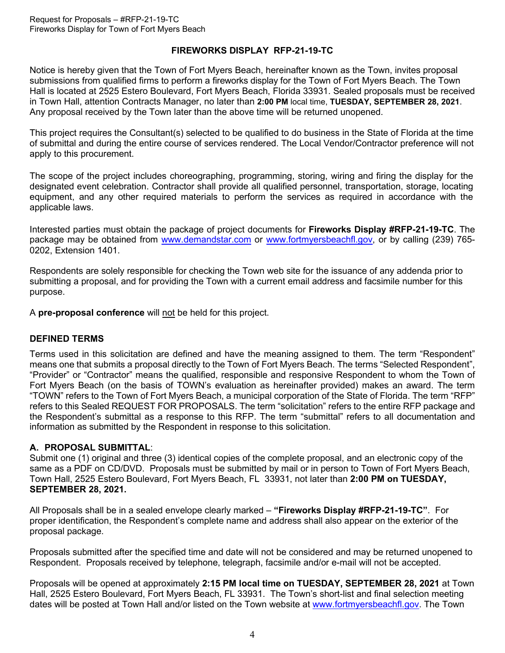#### **FIREWORKS DISPLAY RFP-21-19-TC**

Notice is hereby given that the Town of Fort Myers Beach, hereinafter known as the Town, invites proposal submissions from qualified firms to perform a fireworks display for the Town of Fort Myers Beach. The Town Hall is located at 2525 Estero Boulevard, Fort Myers Beach, Florida 33931. Sealed proposals must be received in Town Hall, attention Contracts Manager, no later than **2:00 PM** local time, **TUESDAY, SEPTEMBER 28, 2021**. Any proposal received by the Town later than the above time will be returned unopened.

This project requires the Consultant(s) selected to be qualified to do business in the State of Florida at the time of submittal and during the entire course of services rendered. The Local Vendor/Contractor preference will not apply to this procurement.

The scope of the project includes choreographing, programming, storing, wiring and firing the display for the designated event celebration. Contractor shall provide all qualified personnel, transportation, storage, locating equipment, and any other required materials to perform the services as required in accordance with the applicable laws.

Interested parties must obtain the package of project documents for **Fireworks Display #RFP-21-19-TC**. The package may be obtained from [www.demandstar.com](http://www.demandstar.com/) or [www.fortmyersbeachfl.gov,](http://www.fortmyersbeachfl.gov/) or by calling (239) 765-0202, Extension 1401.

Respondents are solely responsible for checking the Town web site for the issuance of any addenda prior to submitting a proposal, and for providing the Town with a current email address and facsimile number for this purpose.

A **pre-proposal conference** will not be held for this project.

#### **DEFINED TERMS**

Terms used in this solicitation are defined and have the meaning assigned to them. The term "Respondent" means one that submits a proposal directly to the Town of Fort Myers Beach. The terms "Selected Respondent", "Provider" or "Contractor" means the qualified, responsible and responsive Respondent to whom the Town of Fort Myers Beach (on the basis of TOWN's evaluation as hereinafter provided) makes an award. The term "TOWN" refers to the Town of Fort Myers Beach, a municipal corporation of the State of Florida. The term "RFP" refers to this Sealed REQUEST FOR PROPOSALS. The term "solicitation" refers to the entire RFP package and the Respondent's submittal as a response to this RFP. The term "submittal" refers to all documentation and information as submitted by the Respondent in response to this solicitation.

#### **A. PROPOSAL SUBMITTAL**:

Submit one (1) original and three (3) identical copies of the complete proposal, and an electronic copy of the same as a PDF on CD/DVD. Proposals must be submitted by mail or in person to Town of Fort Myers Beach, Town Hall, 2525 Estero Boulevard, Fort Myers Beach, FL 33931, not later than **2:00 PM on TUESDAY, SEPTEMBER 28, 2021.**

All Proposals shall be in a sealed envelope clearly marked – **"Fireworks Display #RFP-21-19-TC"**. For proper identification, the Respondent's complete name and address shall also appear on the exterior of the proposal package.

Proposals submitted after the specified time and date will not be considered and may be returned unopened to Respondent. Proposals received by telephone, telegraph, facsimile and/or e-mail will not be accepted.

Proposals will be opened at approximately **2:15 PM local time on TUESDAY, SEPTEMBER 28, 2021** at Town Hall, 2525 Estero Boulevard, Fort Myers Beach, FL 33931. The Town's short-list and final selection meeting dates will be posted at Town Hall and/or listed on the Town website at [www.fortmyersbeachfl.gov.](http://www.fortmyersbeachfl.gov/) The Town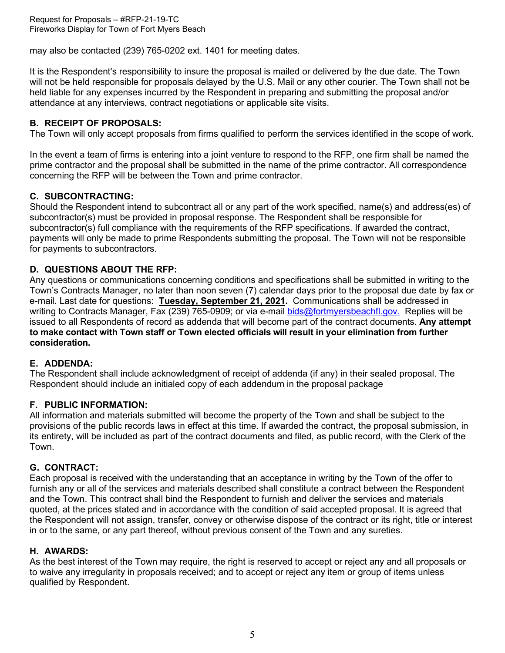Request for Proposals – #RFP-21-19-TC Fireworks Display for Town of Fort Myers Beach

may also be contacted (239) 765-0202 ext. 1401 for meeting dates.

It is the Respondent's responsibility to insure the proposal is mailed or delivered by the due date. The Town will not be held responsible for proposals delayed by the U.S. Mail or any other courier. The Town shall not be held liable for any expenses incurred by the Respondent in preparing and submitting the proposal and/or attendance at any interviews, contract negotiations or applicable site visits.

#### **B. RECEIPT OF PROPOSALS:**

The Town will only accept proposals from firms qualified to perform the services identified in the scope of work.

In the event a team of firms is entering into a joint venture to respond to the RFP, one firm shall be named the prime contractor and the proposal shall be submitted in the name of the prime contractor. All correspondence concerning the RFP will be between the Town and prime contractor.

#### **C. SUBCONTRACTING:**

Should the Respondent intend to subcontract all or any part of the work specified, name(s) and address(es) of subcontractor(s) must be provided in proposal response. The Respondent shall be responsible for subcontractor(s) full compliance with the requirements of the RFP specifications. If awarded the contract, payments will only be made to prime Respondents submitting the proposal. The Town will not be responsible for payments to subcontractors.

#### **D. QUESTIONS ABOUT THE RFP:**

Any questions or communications concerning conditions and specifications shall be submitted in writing to the Town's Contracts Manager, no later than noon seven (7) calendar days prior to the proposal due date by fax or e-mail. Last date for questions: **Tuesday, September 21, 2021.** Communications shall be addressed in writing to Contracts Manager, Fax (239) 765-0909; or via e-mail [bids@fortmyersbeachfl.gov.](mailto:bids@fortmyersbeachfl.gov) Replies will be issued to all Respondents of record as addenda that will become part of the contract documents. **Any attempt to make contact with Town staff or Town elected officials will result in your elimination from further consideration.**

#### **E. ADDENDA:**

The Respondent shall include acknowledgment of receipt of addenda (if any) in their sealed proposal. The Respondent should include an initialed copy of each addendum in the proposal package

#### **F. PUBLIC INFORMATION:**

All information and materials submitted will become the property of the Town and shall be subject to the provisions of the public records laws in effect at this time. If awarded the contract, the proposal submission, in its entirety, will be included as part of the contract documents and filed, as public record, with the Clerk of the Town.

### **G. CONTRACT:**

Each proposal is received with the understanding that an acceptance in writing by the Town of the offer to furnish any or all of the services and materials described shall constitute a contract between the Respondent and the Town. This contract shall bind the Respondent to furnish and deliver the services and materials quoted, at the prices stated and in accordance with the condition of said accepted proposal. It is agreed that the Respondent will not assign, transfer, convey or otherwise dispose of the contract or its right, title or interest in or to the same, or any part thereof, without previous consent of the Town and any sureties.

#### **H. AWARDS:**

As the best interest of the Town may require, the right is reserved to accept or reject any and all proposals or to waive any irregularity in proposals received; and to accept or reject any item or group of items unless qualified by Respondent.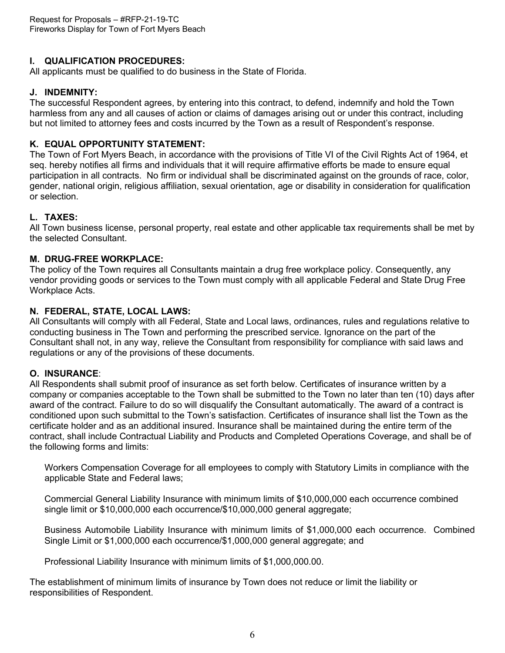# **I. QUALIFICATION PROCEDURES:**

All applicants must be qualified to do business in the State of Florida.

#### **J. INDEMNITY:**

The successful Respondent agrees, by entering into this contract, to defend, indemnify and hold the Town harmless from any and all causes of action or claims of damages arising out or under this contract, including but not limited to attorney fees and costs incurred by the Town as a result of Respondent's response.

#### **K. EQUAL OPPORTUNITY STATEMENT:**

The Town of Fort Myers Beach, in accordance with the provisions of Title VI of the Civil Rights Act of 1964, et seq. hereby notifies all firms and individuals that it will require affirmative efforts be made to ensure equal participation in all contracts. No firm or individual shall be discriminated against on the grounds of race, color, gender, national origin, religious affiliation, sexual orientation, age or disability in consideration for qualification or selection.

# **L. TAXES:**

All Town business license, personal property, real estate and other applicable tax requirements shall be met by the selected Consultant.

#### **M. DRUG-FREE WORKPLACE:**

The policy of the Town requires all Consultants maintain a drug free workplace policy. Consequently, any vendor providing goods or services to the Town must comply with all applicable Federal and State Drug Free Workplace Acts.

#### **N. FEDERAL, STATE, LOCAL LAWS:**

All Consultants will comply with all Federal, State and Local laws, ordinances, rules and regulations relative to conducting business in The Town and performing the prescribed service. Ignorance on the part of the Consultant shall not, in any way, relieve the Consultant from responsibility for compliance with said laws and regulations or any of the provisions of these documents.

# **O. INSURANCE**:

All Respondents shall submit proof of insurance as set forth below. Certificates of insurance written by a company or companies acceptable to the Town shall be submitted to the Town no later than ten (10) days after award of the contract. Failure to do so will disqualify the Consultant automatically. The award of a contract is conditioned upon such submittal to the Town's satisfaction. Certificates of insurance shall list the Town as the certificate holder and as an additional insured. Insurance shall be maintained during the entire term of the contract, shall include Contractual Liability and Products and Completed Operations Coverage, and shall be of the following forms and limits:

Workers Compensation Coverage for all employees to comply with Statutory Limits in compliance with the applicable State and Federal laws;

Commercial General Liability Insurance with minimum limits of \$10,000,000 each occurrence combined single limit or \$10,000,000 each occurrence/\$10,000,000 general aggregate;

Business Automobile Liability Insurance with minimum limits of \$1,000,000 each occurrence. Combined Single Limit or \$1,000,000 each occurrence/\$1,000,000 general aggregate; and

Professional Liability Insurance with minimum limits of \$1,000,000.00.

The establishment of minimum limits of insurance by Town does not reduce or limit the liability or responsibilities of Respondent.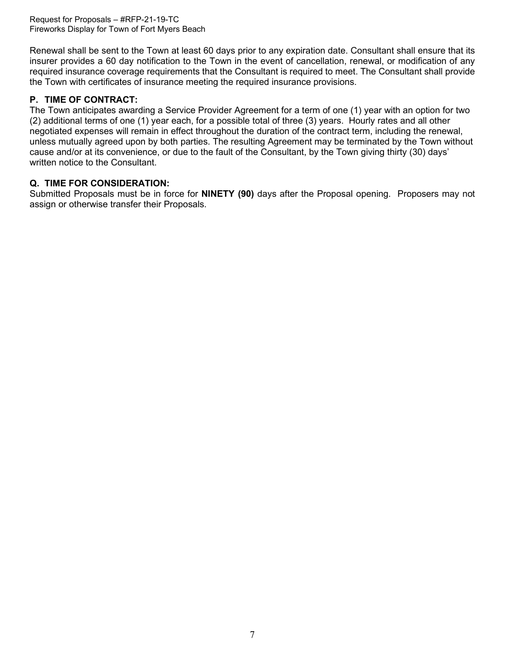Request for Proposals – #RFP-21-19-TC Fireworks Display for Town of Fort Myers Beach

Renewal shall be sent to the Town at least 60 days prior to any expiration date. Consultant shall ensure that its insurer provides a 60 day notification to the Town in the event of cancellation, renewal, or modification of any required insurance coverage requirements that the Consultant is required to meet. The Consultant shall provide the Town with certificates of insurance meeting the required insurance provisions.

# **P. TIME OF CONTRACT:**

The Town anticipates awarding a Service Provider Agreement for a term of one (1) year with an option for two (2) additional terms of one (1) year each, for a possible total of three (3) years. Hourly rates and all other negotiated expenses will remain in effect throughout the duration of the contract term, including the renewal, unless mutually agreed upon by both parties. The resulting Agreement may be terminated by the Town without cause and/or at its convenience, or due to the fault of the Consultant, by the Town giving thirty (30) days' written notice to the Consultant.

### **Q. TIME FOR CONSIDERATION:**

Submitted Proposals must be in force for **NINETY (90)** days after the Proposal opening. Proposers may not assign or otherwise transfer their Proposals.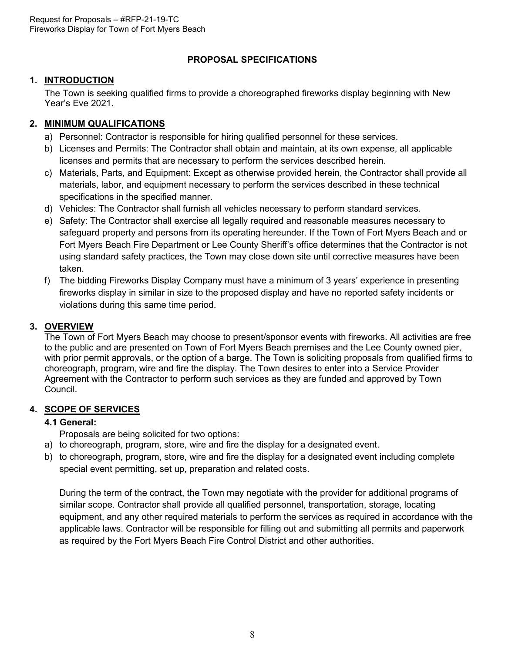# **PROPOSAL SPECIFICATIONS**

# <span id="page-7-0"></span>**1. INTRODUCTION**

The Town is seeking qualified firms to provide a choreographed fireworks display beginning with New Year's Eve 2021.

# <span id="page-7-2"></span><span id="page-7-1"></span>**2. MINIMUM QUALIFICATIONS**

- a) Personnel: Contractor is responsible for hiring qualified personnel for these services.
- b) Licenses and Permits: The Contractor shall obtain and maintain, at its own expense, all applicable licenses and permits that are necessary to perform the services described herein.
- c) Materials, Parts, and Equipment: Except as otherwise provided herein, the Contractor shall provide all materials, labor, and equipment necessary to perform the services described in these technical specifications in the specified manner.
- d) Vehicles: The Contractor shall furnish all vehicles necessary to perform standard services.
- e) Safety: The Contractor shall exercise all legally required and reasonable measures necessary to safeguard property and persons from its operating hereunder. If the Town of Fort Myers Beach and or Fort Myers Beach Fire Department or Lee County Sheriff's office determines that the Contractor is not using standard safety practices, the Town may close down site until corrective measures have been taken.
- f) The bidding Fireworks Display Company must have a minimum of 3 years' experience in presenting fireworks display in similar in size to the proposed display and have no reported safety incidents or violations during this same time period.

# **3. OVERVIEW**

The Town of Fort Myers Beach may choose to present/sponsor events with fireworks. All activities are free to the public and are presented on Town of Fort Myers Beach premises and the Lee County owned pier, with prior permit approvals, or the option of a barge. The Town is soliciting proposals from qualified firms to choreograph, program, wire and fire the display. The Town desires to enter into a Service Provider Agreement with the Contractor to perform such services as they are funded and approved by Town Council.

### **4. SCOPE OF SERVICES**

# **4.1 General:**

- Proposals are being solicited for two options:
- a) to choreograph, program, store, wire and fire the display for a designated event.
- b) to choreograph, program, store, wire and fire the display for a designated event including complete special event permitting, set up, preparation and related costs.

During the term of the contract, the Town may negotiate with the provider for additional programs of similar scope. Contractor shall provide all qualified personnel, transportation, storage, locating equipment, and any other required materials to perform the services as required in accordance with the applicable laws. Contractor will be responsible for filling out and submitting all permits and paperwork as required by the Fort Myers Beach Fire Control District and other authorities.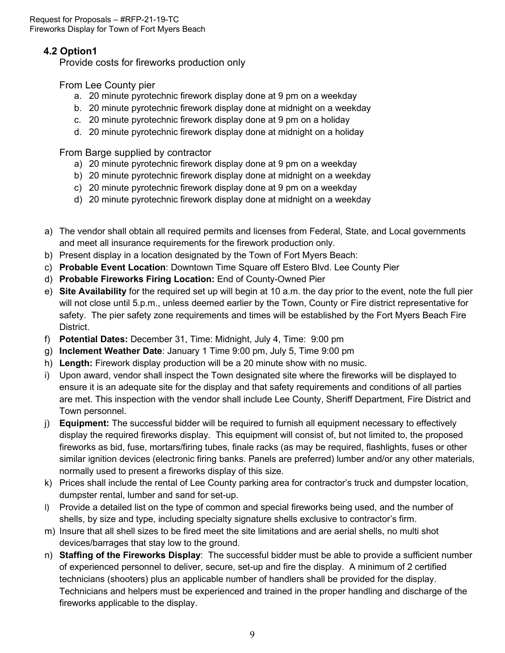# **4.2 Option1**

Provide costs for fireworks production only

From Lee County pier

- a. 20 minute pyrotechnic firework display done at 9 pm on a weekday
- b. 20 minute pyrotechnic firework display done at midnight on a weekday
- c. 20 minute pyrotechnic firework display done at 9 pm on a holiday
- d. 20 minute pyrotechnic firework display done at midnight on a holiday

From Barge supplied by contractor

- a) 20 minute pyrotechnic firework display done at 9 pm on a weekday
- b) 20 minute pyrotechnic firework display done at midnight on a weekday
- c) 20 minute pyrotechnic firework display done at 9 pm on a weekday
- d) 20 minute pyrotechnic firework display done at midnight on a weekday
- a) The vendor shall obtain all required permits and licenses from Federal, State, and Local governments and meet all insurance requirements for the firework production only.
- b) Present display in a location designated by the Town of Fort Myers Beach:
- c) **Probable Event Location**: Downtown Time Square off Estero Blvd. Lee County Pier
- d) **Probable Fireworks Firing Location:** End of County-Owned Pier
- e) **Site Availability** for the required set up will begin at 10 a.m. the day prior to the event, note the full pier will not close until 5.p.m., unless deemed earlier by the Town, County or Fire district representative for safety. The pier safety zone requirements and times will be established by the Fort Myers Beach Fire District.
- f) **Potential Dates:** December 31, Time: Midnight, July 4, Time: 9:00 pm
- g) **Inclement Weather Date**: January 1 Time 9:00 pm, July 5, Time 9:00 pm
- h) **Length:** Firework display production will be a 20 minute show with no music.
- i) Upon award, vendor shall inspect the Town designated site where the fireworks will be displayed to ensure it is an adequate site for the display and that safety requirements and conditions of all parties are met. This inspection with the vendor shall include Lee County, Sheriff Department, Fire District and Town personnel.
- j) **Equipment:** The successful bidder will be required to furnish all equipment necessary to effectively display the required fireworks display. This equipment will consist of, but not limited to, the proposed fireworks as bid, fuse, mortars/firing tubes, finale racks (as may be required, flashlights, fuses or other similar ignition devices (electronic firing banks. Panels are preferred) lumber and/or any other materials, normally used to present a fireworks display of this size.
- k) Prices shall include the rental of Lee County parking area for contractor's truck and dumpster location, dumpster rental, lumber and sand for set-up.
- l) Provide a detailed list on the type of common and special fireworks being used, and the number of shells, by size and type, including specialty signature shells exclusive to contractor's firm.
- m) Insure that all shell sizes to be fired meet the site limitations and are aerial shells, no multi shot devices/barrages that stay low to the ground.
- n) **Staffing of the Fireworks Display**: The successful bidder must be able to provide a sufficient number of experienced personnel to deliver, secure, set-up and fire the display. A minimum of 2 certified technicians (shooters) plus an applicable number of handlers shall be provided for the display. Technicians and helpers must be experienced and trained in the proper handling and discharge of the fireworks applicable to the display.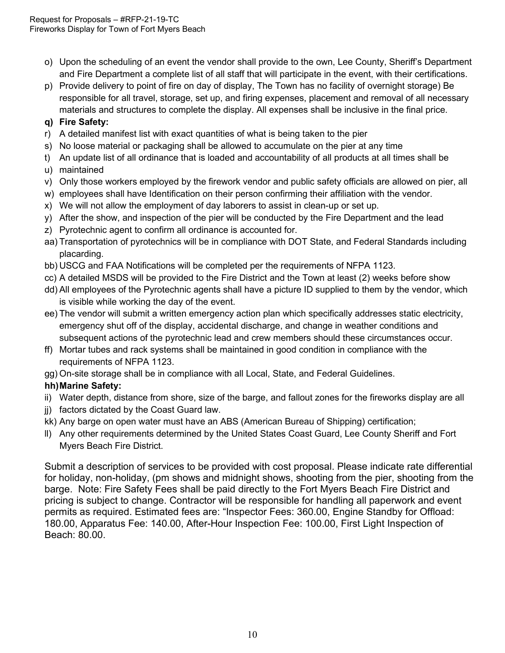- o) Upon the scheduling of an event the vendor shall provide to the own, Lee County, Sheriff's Department and Fire Department a complete list of all staff that will participate in the event, with their certifications.
- p) Provide delivery to point of fire on day of display, The Town has no facility of overnight storage) Be responsible for all travel, storage, set up, and firing expenses, placement and removal of all necessary materials and structures to complete the display. All expenses shall be inclusive in the final price.

# **q) Fire Safety:**

- r) A detailed manifest list with exact quantities of what is being taken to the pier
- s) No loose material or packaging shall be allowed to accumulate on the pier at any time
- t) An update list of all ordinance that is loaded and accountability of all products at all times shall be
- u) maintained
- v) Only those workers employed by the firework vendor and public safety officials are allowed on pier, all
- w) employees shall have Identification on their person confirming their affiliation with the vendor.
- x) We will not allow the employment of day laborers to assist in clean-up or set up.
- y) After the show, and inspection of the pier will be conducted by the Fire Department and the lead
- z) Pyrotechnic agent to confirm all ordinance is accounted for.
- aa) Transportation of pyrotechnics will be in compliance with DOT State, and Federal Standards including placarding.
- bb) USCG and FAA Notifications will be completed per the requirements of NFPA 1123.
- cc) A detailed MSDS will be provided to the Fire District and the Town at least (2) weeks before show
- dd) All employees of the Pyrotechnic agents shall have a picture ID supplied to them by the vendor, which is visible while working the day of the event.
- ee) The vendor will submit a written emergency action plan which specifically addresses static electricity, emergency shut off of the display, accidental discharge, and change in weather conditions and subsequent actions of the pyrotechnic lead and crew members should these circumstances occur.
- ff) Mortar tubes and rack systems shall be maintained in good condition in compliance with the requirements of NFPA 1123.
- gg) On-site storage shall be in compliance with all Local, State, and Federal Guidelines.

# **hh)Marine Safety:**

- ii) Water depth, distance from shore, size of the barge, and fallout zones for the fireworks display are all
- jj) factors dictated by the Coast Guard law.
- kk) Any barge on open water must have an ABS (American Bureau of Shipping) certification;
- ll) Any other requirements determined by the United States Coast Guard, Lee County Sheriff and Fort Myers Beach Fire District.

Submit a description of services to be provided with cost proposal. Please indicate rate differential for holiday, non-holiday, (pm shows and midnight shows, shooting from the pier, shooting from the barge. Note: Fire Safety Fees shall be paid directly to the Fort Myers Beach Fire District and pricing is subject to change. Contractor will be responsible for handling all paperwork and event permits as required. Estimated fees are: "Inspector Fees: 360.00, Engine Standby for Offload: 180.00, Apparatus Fee: 140.00, After-Hour Inspection Fee: 100.00, First Light Inspection of Beach: 80.00.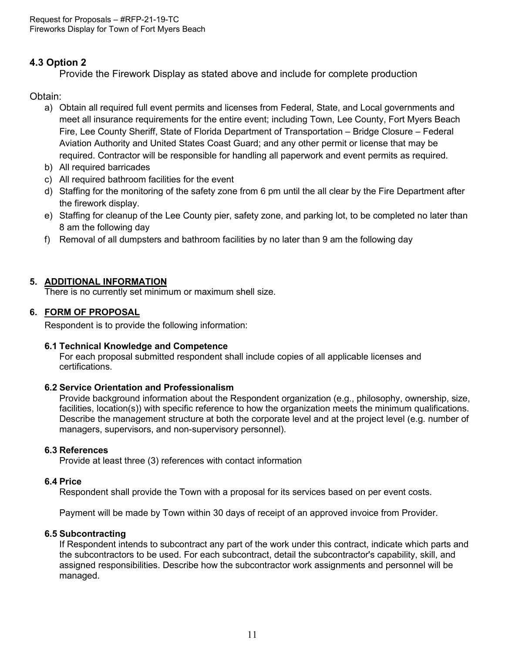# **4.3 Option 2**

Provide the Firework Display as stated above and include for complete production

# Obtain:

- a) Obtain all required full event permits and licenses from Federal, State, and Local governments and meet all insurance requirements for the entire event; including Town, Lee County, Fort Myers Beach Fire, Lee County Sheriff, State of Florida Department of Transportation – Bridge Closure – Federal Aviation Authority and United States Coast Guard; and any other permit or license that may be required. Contractor will be responsible for handling all paperwork and event permits as required.
- b) All required barricades
- c) All required bathroom facilities for the event
- d) Staffing for the monitoring of the safety zone from 6 pm until the all clear by the Fire Department after the firework display.
- e) Staffing for cleanup of the Lee County pier, safety zone, and parking lot, to be completed no later than 8 am the following day
- f) Removal of all dumpsters and bathroom facilities by no later than 9 am the following day

# **5. ADDITIONAL INFORMATION**

There is no currently set minimum or maximum shell size.

### <span id="page-10-0"></span>**6. FORM OF PROPOSAL**

Respondent is to provide the following information:

### **6.1 Technical Knowledge and Competence**

For each proposal submitted respondent shall include copies of all applicable licenses and certifications.

### **6.2 Service Orientation and Professionalism**

Provide background information about the Respondent organization (e.g., philosophy, ownership, size, facilities, location(s)) with specific reference to how the organization meets the minimum qualifications. Describe the management structure at both the corporate level and at the project level (e.g. number of managers, supervisors, and non-supervisory personnel).

### **6.3 References**

Provide at least three (3) references with contact information

#### **6.4 Price**

Respondent shall provide the Town with a proposal for its services based on per event costs.

Payment will be made by Town within 30 days of receipt of an approved invoice from Provider.

### **6.5 Subcontracting**

If Respondent intends to subcontract any part of the work under this contract, indicate which parts and the subcontractors to be used. For each subcontract, detail the subcontractor's capability, skill, and assigned responsibilities. Describe how the subcontractor work assignments and personnel will be managed.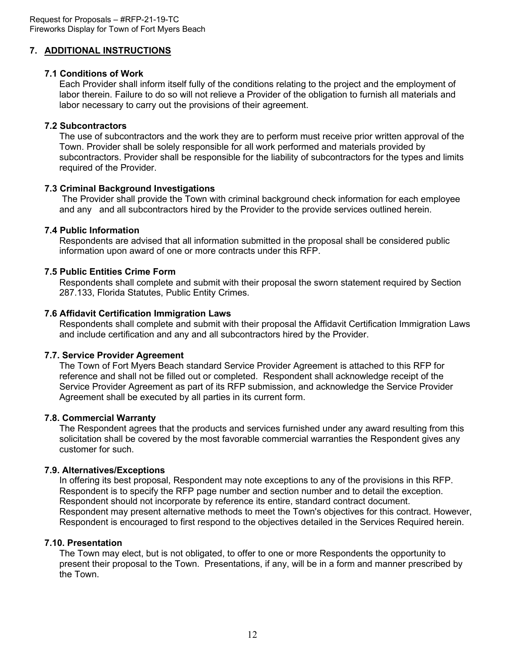# <span id="page-11-0"></span>**7. ADDITIONAL INSTRUCTIONS**

# **7.1 Conditions of Work**

Each Provider shall inform itself fully of the conditions relating to the project and the employment of labor therein. Failure to do so will not relieve a Provider of the obligation to furnish all materials and labor necessary to carry out the provisions of their agreement.

# **7.2 Subcontractors**

The use of subcontractors and the work they are to perform must receive prior written approval of the Town. Provider shall be solely responsible for all work performed and materials provided by subcontractors. Provider shall be responsible for the liability of subcontractors for the types and limits required of the Provider.

# **7.3 Criminal Background Investigations**

The Provider shall provide the Town with criminal background check information for each employee and any and all subcontractors hired by the Provider to the provide services outlined herein.

# **7.4 Public Information**

Respondents are advised that all information submitted in the proposal shall be considered public information upon award of one or more contracts under this RFP.

# **7.5 Public Entities Crime Form**

Respondents shall complete and submit with their proposal the sworn statement required by Section 287.133, Florida Statutes, Public Entity Crimes.

### **7.6 Affidavit Certification Immigration Laws**

Respondents shall complete and submit with their proposal the Affidavit Certification Immigration Laws and include certification and any and all subcontractors hired by the Provider.

### **7.7. Service Provider Agreement**

The Town of Fort Myers Beach standard Service Provider Agreement is attached to this RFP for reference and shall not be filled out or completed. Respondent shall acknowledge receipt of the Service Provider Agreement as part of its RFP submission, and acknowledge the Service Provider Agreement shall be executed by all parties in its current form.

### **7.8. Commercial Warranty**

The Respondent agrees that the products and services furnished under any award resulting from this solicitation shall be covered by the most favorable commercial warranties the Respondent gives any customer for such.

### **7.9. Alternatives/Exceptions**

In offering its best proposal, Respondent may note exceptions to any of the provisions in this RFP. Respondent is to specify the RFP page number and section number and to detail the exception. Respondent should not incorporate by reference its entire, standard contract document. Respondent may present alternative methods to meet the Town's objectives for this contract. However, Respondent is encouraged to first respond to the objectives detailed in the Services Required herein.

### **7.10. Presentation**

The Town may elect, but is not obligated, to offer to one or more Respondents the opportunity to present their proposal to the Town. Presentations, if any, will be in a form and manner prescribed by the Town.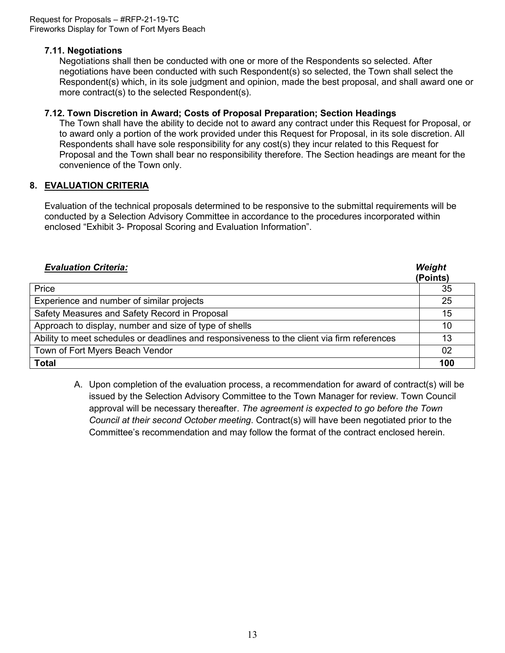# **7.11. Negotiations**

Negotiations shall then be conducted with one or more of the Respondents so selected. After negotiations have been conducted with such Respondent(s) so selected, the Town shall select the Respondent(s) which, in its sole judgment and opinion, made the best proposal, and shall award one or more contract(s) to the selected Respondent(s).

# **7.12. Town Discretion in Award; Costs of Proposal Preparation; Section Headings**

The Town shall have the ability to decide not to award any contract under this Request for Proposal, or to award only a portion of the work provided under this Request for Proposal, in its sole discretion. All Respondents shall have sole responsibility for any cost(s) they incur related to this Request for Proposal and the Town shall bear no responsibility therefore. The Section headings are meant for the convenience of the Town only.

# <span id="page-12-0"></span>**8. EVALUATION CRITERIA**

Evaluation of the technical proposals determined to be responsive to the submittal requirements will be conducted by a Selection Advisory Committee in accordance to the procedures incorporated within enclosed "Exhibit 3- Proposal Scoring and Evaluation Information".

| <b>Evaluation Criteria:</b>                                                                 | Weight<br>(Points) |
|---------------------------------------------------------------------------------------------|--------------------|
| Price                                                                                       | 35                 |
| Experience and number of similar projects                                                   | 25                 |
| Safety Measures and Safety Record in Proposal                                               | 15                 |
| Approach to display, number and size of type of shells                                      | 10                 |
| Ability to meet schedules or deadlines and responsiveness to the client via firm references | 13                 |
| Town of Fort Myers Beach Vendor                                                             | 02                 |
| <b>Total</b>                                                                                | 100                |

A. Upon completion of the evaluation process, a recommendation for award of contract(s) will be issued by the Selection Advisory Committee to the Town Manager for review. Town Council approval will be necessary thereafter. *The agreement is expected to go before the Town Council at their second October meeting*. Contract(s) will have been negotiated prior to the Committee's recommendation and may follow the format of the contract enclosed herein.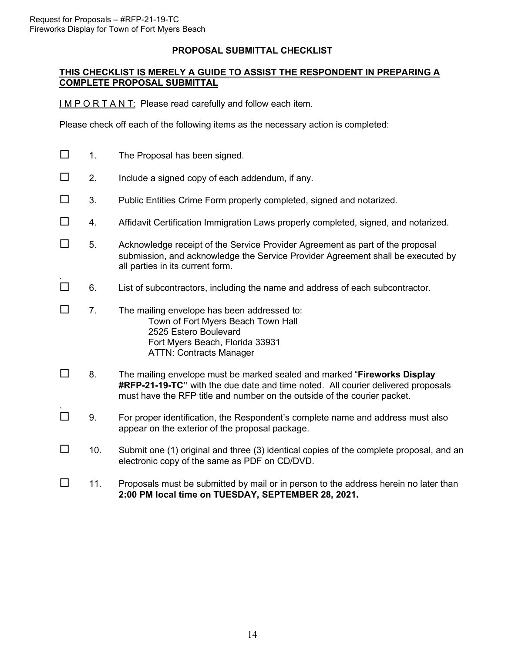.

.

### **PROPOSAL SUBMITTAL CHECKLIST**

#### <span id="page-13-0"></span>**THIS CHECKLIST IS MERELY A GUIDE TO ASSIST THE RESPONDENT IN PREPARING A COMPLETE PROPOSAL SUBMITTAL**

I M P O R T A N T: Please read carefully and follow each item.

Please check off each of the following items as the necessary action is completed:

- $\Box$  1. The Proposal has been signed.
- $\square$  2. Include a signed copy of each addendum, if any.
- $\Box$  3. Public Entities Crime Form properly completed, signed and notarized.
- $\Box$  4. Affidavit Certification Immigration Laws properly completed, signed, and notarized.
- $\square$  5. Acknowledge receipt of the Service Provider Agreement as part of the proposal submission, and acknowledge the Service Provider Agreement shall be executed by all parties in its current form.
- $\Box$  6. List of subcontractors, including the name and address of each subcontractor.
- $\square$  7. The mailing envelope has been addressed to: Town of Fort Myers Beach Town Hall 2525 Estero Boulevard Fort Myers Beach, Florida 33931 ATTN: Contracts Manager
- 8. The mailing envelope must be marked sealed and marked "**Fireworks Display #RFP-21-19-TC"** with the due date and time noted. All courier delivered proposals must have the RFP title and number on the outside of the courier packet.
- $\Box$  9. For proper identification, the Respondent's complete name and address must also appear on the exterior of the proposal package.
- $\Box$  10. Submit one (1) original and three (3) identical copies of the complete proposal, and an electronic copy of the same as PDF on CD/DVD.
- $\Box$  11. Proposals must be submitted by mail or in person to the address herein no later than **2:00 PM local time on TUESDAY, SEPTEMBER 28, 2021.**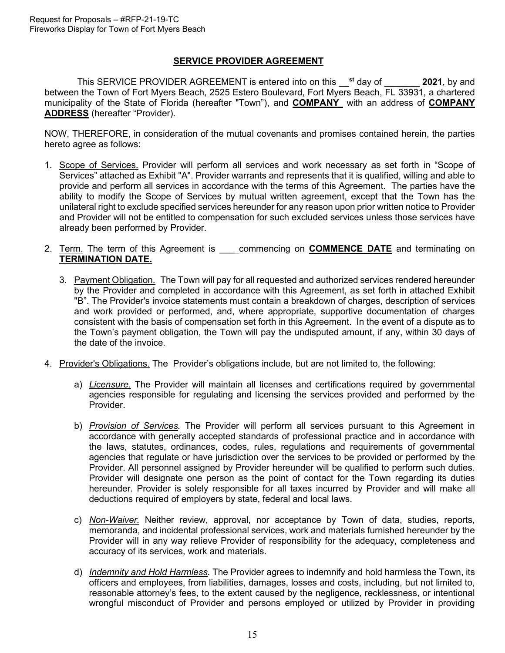# **SERVICE PROVIDER AGREEMENT**

This SERVICE PROVIDER AGREEMENT is entered into on this **\_\_st** day of **\_\_\_\_\_\_\_ 2021**, by and between the Town of Fort Myers Beach, 2525 Estero Boulevard, Fort Myers Beach, FL 33931, a chartered municipality of the State of Florida (hereafter "Town"), and **COMPANY** with an address of **COMPANY ADDRESS** (hereafter "Provider).

NOW, THEREFORE, in consideration of the mutual covenants and promises contained herein, the parties hereto agree as follows:

- 1. Scope of Services. Provider will perform all services and work necessary as set forth in "Scope of Services" attached as Exhibit "A". Provider warrants and represents that it is qualified, willing and able to provide and perform all services in accordance with the terms of this Agreement. The parties have the ability to modify the Scope of Services by mutual written agreement, except that the Town has the unilateral right to exclude specified services hereunder for any reason upon prior written notice to Provider and Provider will not be entitled to compensation for such excluded services unless those services have already been performed by Provider.
- 2. Term. The term of this Agreement is \_\_\_ commencing on **COMMENCE DATE** and terminating on **TERMINATION DATE.**
	- 3. Payment Obligation. The Town will pay for all requested and authorized services rendered hereunder by the Provider and completed in accordance with this Agreement, as set forth in attached Exhibit "B". The Provider's invoice statements must contain a breakdown of charges, description of services and work provided or performed, and, where appropriate, supportive documentation of charges consistent with the basis of compensation set forth in this Agreement. In the event of a dispute as to the Town's payment obligation, the Town will pay the undisputed amount, if any, within 30 days of the date of the invoice.
- 4. Provider's Obligations. The Provider's obligations include, but are not limited to, the following:
	- a) *Licensure.* The Provider will maintain all licenses and certifications required by governmental agencies responsible for regulating and licensing the services provided and performed by the Provider.
	- b) *Provision of Services.* The Provider will perform all services pursuant to this Agreement in accordance with generally accepted standards of professional practice and in accordance with the laws, statutes, ordinances, codes, rules, regulations and requirements of governmental agencies that regulate or have jurisdiction over the services to be provided or performed by the Provider. All personnel assigned by Provider hereunder will be qualified to perform such duties. Provider will designate one person as the point of contact for the Town regarding its duties hereunder. Provider is solely responsible for all taxes incurred by Provider and will make all deductions required of employers by state, federal and local laws.
	- c) *Non-Waiver.* Neither review, approval, nor acceptance by Town of data, studies, reports, memoranda, and incidental professional services, work and materials furnished hereunder by the Provider will in any way relieve Provider of responsibility for the adequacy, completeness and accuracy of its services, work and materials.
	- d) *Indemnity and Hold Harmless.* The Provider agrees to indemnify and hold harmless the Town, its officers and employees, from liabilities, damages, losses and costs, including, but not limited to, reasonable attorney's fees, to the extent caused by the negligence, recklessness, or intentional wrongful misconduct of Provider and persons employed or utilized by Provider in providing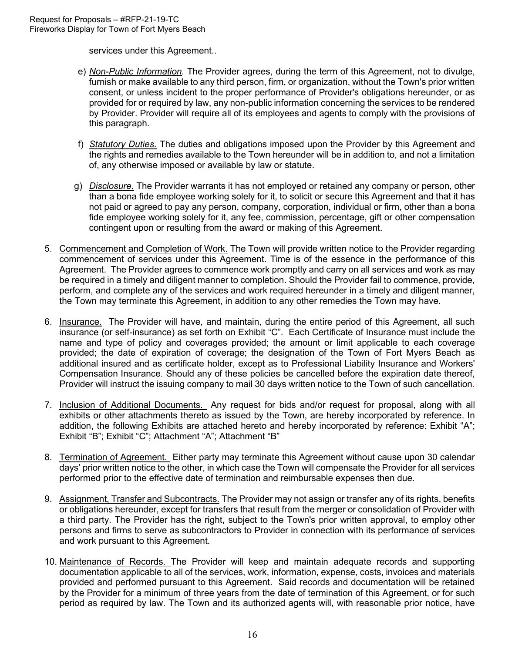services under this Agreement..

- e) *Non-Public Information.* The Provider agrees, during the term of this Agreement, not to divulge, furnish or make available to any third person, firm, or organization, without the Town's prior written consent, or unless incident to the proper performance of Provider's obligations hereunder, or as provided for or required by law, any non-public information concerning the services to be rendered by Provider. Provider will require all of its employees and agents to comply with the provisions of this paragraph.
- f) *Statutory Duties.* The duties and obligations imposed upon the Provider by this Agreement and the rights and remedies available to the Town hereunder will be in addition to, and not a limitation of, any otherwise imposed or available by law or statute.
- g) *Disclosure.* The Provider warrants it has not employed or retained any company or person, other than a bona fide employee working solely for it, to solicit or secure this Agreement and that it has not paid or agreed to pay any person, company, corporation, individual or firm, other than a bona fide employee working solely for it, any fee, commission, percentage, gift or other compensation contingent upon or resulting from the award or making of this Agreement.
- 5. Commencement and Completion of Work. The Town will provide written notice to the Provider regarding commencement of services under this Agreement. Time is of the essence in the performance of this Agreement. The Provider agrees to commence work promptly and carry on all services and work as may be required in a timely and diligent manner to completion. Should the Provider fail to commence, provide, perform, and complete any of the services and work required hereunder in a timely and diligent manner, the Town may terminate this Agreement, in addition to any other remedies the Town may have.
- 6. Insurance. The Provider will have, and maintain, during the entire period of this Agreement, all such insurance (or self-insurance) as set forth on Exhibit "C". Each Certificate of Insurance must include the name and type of policy and coverages provided; the amount or limit applicable to each coverage provided; the date of expiration of coverage; the designation of the Town of Fort Myers Beach as additional insured and as certificate holder, except as to Professional Liability Insurance and Workers' Compensation Insurance. Should any of these policies be cancelled before the expiration date thereof, Provider will instruct the issuing company to mail 30 days written notice to the Town of such cancellation.
- 7. Inclusion of Additional Documents. Any request for bids and/or request for proposal, along with all exhibits or other attachments thereto as issued by the Town, are hereby incorporated by reference. In addition, the following Exhibits are attached hereto and hereby incorporated by reference: Exhibit "A"; Exhibit "B"; Exhibit "C"; Attachment "A"; Attachment "B"
- 8. Termination of Agreement. Either party may terminate this Agreement without cause upon 30 calendar days' prior written notice to the other, in which case the Town will compensate the Provider for all services performed prior to the effective date of termination and reimbursable expenses then due.
- 9. Assignment, Transfer and Subcontracts. The Provider may not assign or transfer any of its rights, benefits or obligations hereunder, except for transfers that result from the merger or consolidation of Provider with a third party. The Provider has the right, subject to the Town's prior written approval, to employ other persons and firms to serve as subcontractors to Provider in connection with its performance of services and work pursuant to this Agreement.
- 10. Maintenance of Records. The Provider will keep and maintain adequate records and supporting documentation applicable to all of the services, work, information, expense, costs, invoices and materials provided and performed pursuant to this Agreement. Said records and documentation will be retained by the Provider for a minimum of three years from the date of termination of this Agreement, or for such period as required by law. The Town and its authorized agents will, with reasonable prior notice, have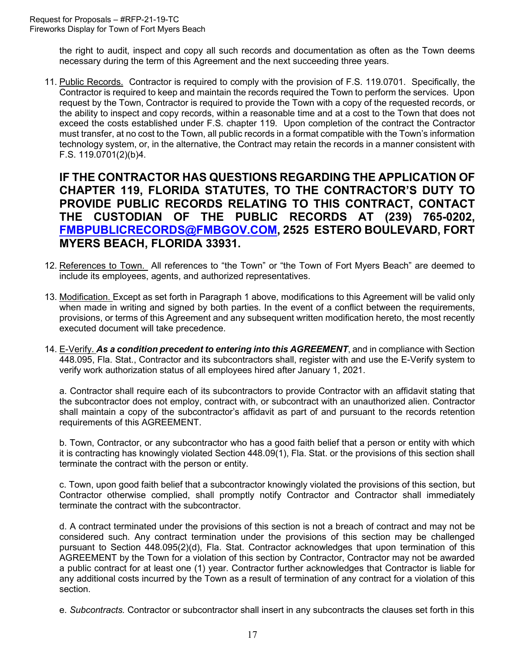the right to audit, inspect and copy all such records and documentation as often as the Town deems necessary during the term of this Agreement and the next succeeding three years.

11. Public Records. Contractor is required to comply with the provision of F.S. 119.0701. Specifically, the Contractor is required to keep and maintain the records required the Town to perform the services. Upon request by the Town, Contractor is required to provide the Town with a copy of the requested records, or the ability to inspect and copy records, within a reasonable time and at a cost to the Town that does not exceed the costs established under F.S. chapter 119. Upon completion of the contract the Contractor must transfer, at no cost to the Town, all public records in a format compatible with the Town's information technology system, or, in the alternative, the Contract may retain the records in a manner consistent with F.S. 119.0701(2)(b)4.

**IF THE CONTRACTOR HAS QUESTIONS REGARDING THE APPLICATION OF CHAPTER 119, FLORIDA STATUTES, TO THE CONTRACTOR'S DUTY TO PROVIDE PUBLIC RECORDS RELATING TO THIS CONTRACT, CONTACT THE CUSTODIAN OF THE PUBLIC RECORDS AT (239) 765-0202, [FMBPUBLICRECORDS@FMBGOV.COM,](mailto:FMBPUBLICRECORDS@FMBGOV.COM) 2525 ESTERO BOULEVARD, FORT MYERS BEACH, FLORIDA 33931.**

- 12. References to Town. All references to "the Town" or "the Town of Fort Myers Beach" are deemed to include its employees, agents, and authorized representatives.
- 13. Modification. Except as set forth in Paragraph 1 above, modifications to this Agreement will be valid only when made in writing and signed by both parties. In the event of a conflict between the requirements, provisions, or terms of this Agreement and any subsequent written modification hereto, the most recently executed document will take precedence.
- 14. E-Verify. *As a condition precedent to entering into this AGREEMENT*, and in compliance with Section 448.095, Fla. Stat., Contractor and its subcontractors shall, register with and use the E-Verify system to verify work authorization status of all employees hired after January 1, 2021.

a. Contractor shall require each of its subcontractors to provide Contractor with an affidavit stating that the subcontractor does not employ, contract with, or subcontract with an unauthorized alien. Contractor shall maintain a copy of the subcontractor's affidavit as part of and pursuant to the records retention requirements of this AGREEMENT.

b. Town, Contractor, or any subcontractor who has a good faith belief that a person or entity with which it is contracting has knowingly violated Section 448.09(1), Fla. Stat. or the provisions of this section shall terminate the contract with the person or entity.

c. Town, upon good faith belief that a subcontractor knowingly violated the provisions of this section, but Contractor otherwise complied, shall promptly notify Contractor and Contractor shall immediately terminate the contract with the subcontractor.

d. A contract terminated under the provisions of this section is not a breach of contract and may not be considered such. Any contract termination under the provisions of this section may be challenged pursuant to Section 448.095(2)(d), Fla. Stat. Contractor acknowledges that upon termination of this AGREEMENT by the Town for a violation of this section by Contractor, Contractor may not be awarded a public contract for at least one (1) year. Contractor further acknowledges that Contractor is liable for any additional costs incurred by the Town as a result of termination of any contract for a violation of this section.

e. *Subcontracts.* Contractor or subcontractor shall insert in any subcontracts the clauses set forth in this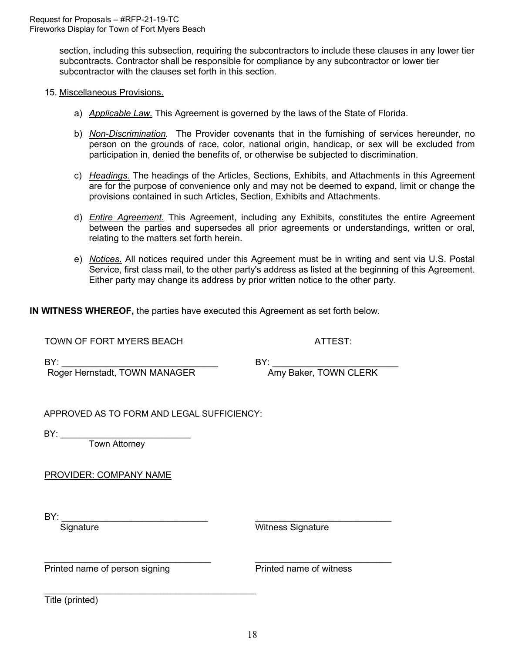section, including this subsection, requiring the subcontractors to include these clauses in any lower tier subcontracts. Contractor shall be responsible for compliance by any subcontractor or lower tier subcontractor with the clauses set forth in this section.

#### 15. Miscellaneous Provisions.

- a) *Applicable Law.* This Agreement is governed by the laws of the State of Florida.
- b) *Non-Discrimination.* The Provider covenants that in the furnishing of services hereunder, no person on the grounds of race, color, national origin, handicap, or sex will be excluded from participation in, denied the benefits of, or otherwise be subjected to discrimination.
- c) *Headings.* The headings of the Articles, Sections, Exhibits, and Attachments in this Agreement are for the purpose of convenience only and may not be deemed to expand, limit or change the provisions contained in such Articles, Section, Exhibits and Attachments.
- d) *Entire Agreement*. This Agreement, including any Exhibits, constitutes the entire Agreement between the parties and supersedes all prior agreements or understandings, written or oral, relating to the matters set forth herein.
- e) *Notices*. All notices required under this Agreement must be in writing and sent via U.S. Postal Service, first class mail, to the other party's address as listed at the beginning of this Agreement. Either party may change its address by prior written notice to the other party.

**IN WITNESS WHEREOF,** the parties have executed this Agreement as set forth below.

TOWN OF FORT MYERS BEACH ATTEST:

BY: \_\_\_\_\_\_\_\_\_\_\_\_\_\_\_\_\_\_\_\_\_\_\_\_\_\_\_\_\_\_\_ BY: \_\_\_\_\_\_\_\_\_\_\_\_\_\_\_\_\_\_\_\_\_\_\_\_\_ Roger Hernstadt, TOWN MANAGER

APPROVED AS TO FORM AND LEGAL SUFFICIENCY:

\_\_\_\_\_\_\_\_\_\_\_\_\_\_\_\_\_\_\_\_\_\_\_\_\_\_\_\_\_\_\_\_\_\_\_\_\_\_\_\_\_\_

BY: \_\_\_\_\_\_\_\_\_\_\_\_\_\_\_\_\_\_\_\_\_\_\_\_\_\_\_

Town Attorney

PROVIDER: COMPANY NAME

BY:<br>Signature

Witness Signature

\_\_\_\_\_\_\_\_\_\_\_\_\_\_\_\_\_\_\_\_\_\_\_\_\_\_\_\_\_\_\_\_\_ \_\_\_\_\_\_\_\_\_\_\_\_\_\_\_\_\_\_\_\_\_\_\_\_\_\_\_ Printed name of person signing example and printed name of witness

Title (printed)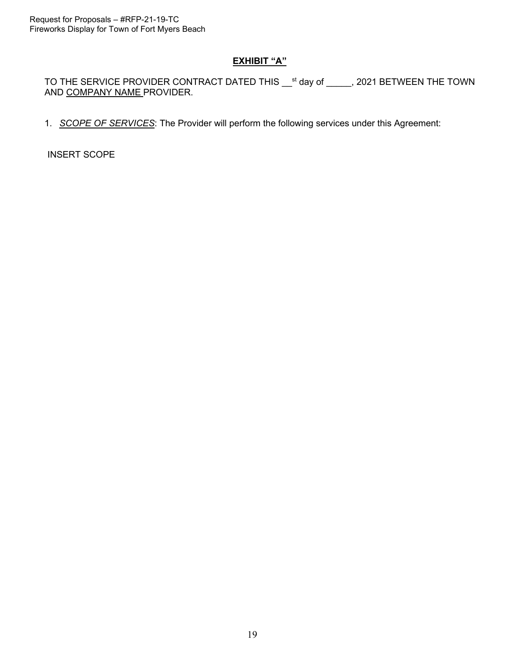# **EXHIBIT "A"**

TO THE SERVICE PROVIDER CONTRACT DATED THIS  $\_$ <sup>st</sup> day of  $__$ , 2021 BETWEEN THE TOWN AND COMPANY NAME PROVIDER.

1. *SCOPE OF SERVICES*: The Provider will perform the following services under this Agreement:

INSERT SCOPE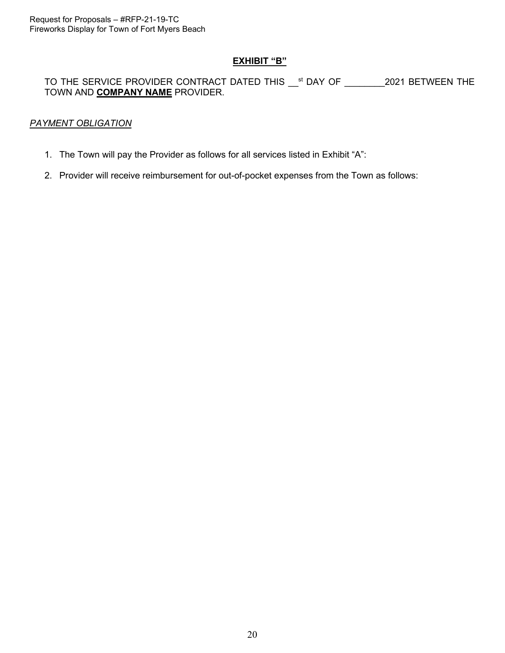### **EXHIBIT "B"**

# TO THE SERVICE PROVIDER CONTRACT DATED THIS <sup>st</sup> DAY OF 2021 BETWEEN THE TOWN AND **COMPANY NAME** PROVIDER.

# *PAYMENT OBLIGATION*

- 1. The Town will pay the Provider as follows for all services listed in Exhibit "A":
- 2. Provider will receive reimbursement for out-of-pocket expenses from the Town as follows: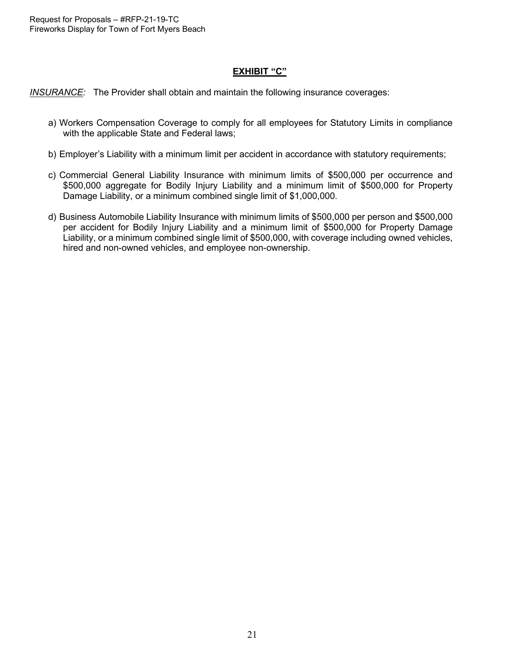# **EXHIBIT "C"**

*INSURANCE:* The Provider shall obtain and maintain the following insurance coverages:

- a) Workers Compensation Coverage to comply for all employees for Statutory Limits in compliance with the applicable State and Federal laws;
- b) Employer's Liability with a minimum limit per accident in accordance with statutory requirements;
- c) Commercial General Liability Insurance with minimum limits of \$500,000 per occurrence and \$500,000 aggregate for Bodily Injury Liability and a minimum limit of \$500,000 for Property Damage Liability, or a minimum combined single limit of \$1,000,000.
- d) Business Automobile Liability Insurance with minimum limits of \$500,000 per person and \$500,000 per accident for Bodily Injury Liability and a minimum limit of \$500,000 for Property Damage Liability, or a minimum combined single limit of \$500,000, with coverage including owned vehicles, hired and non-owned vehicles, and employee non-ownership.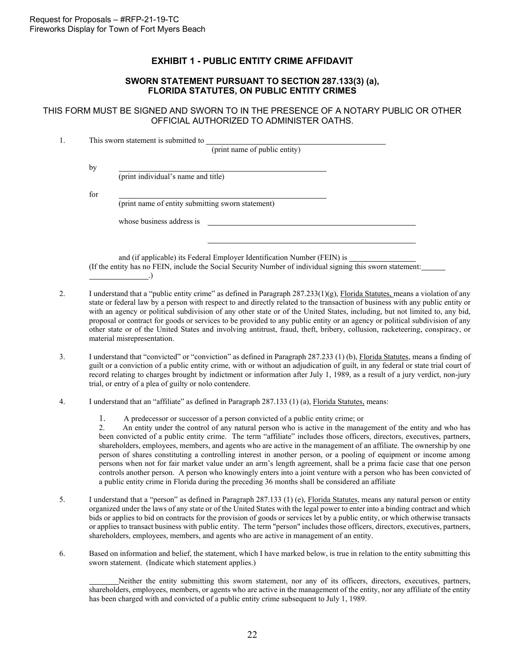#### **EXHIBIT 1 - PUBLIC ENTITY CRIME AFFIDAVIT**

#### **SWORN STATEMENT PURSUANT TO SECTION 287.133(3) (a), FLORIDA STATUTES, ON PUBLIC ENTITY CRIMES**

<span id="page-21-0"></span>THIS FORM MUST BE SIGNED AND SWORN TO IN THE PRESENCE OF A NOTARY PUBLIC OR OTHER OFFICIAL AUTHORIZED TO ADMINISTER OATHS.

|     | This sworn statement is submitted to<br>(print name of public entity)    |
|-----|--------------------------------------------------------------------------|
| by  |                                                                          |
|     | (print individual's name and title)                                      |
| for |                                                                          |
|     | (print name of entity submitting sworn statement)                        |
|     | whose business address is                                                |
|     |                                                                          |
|     |                                                                          |
|     | and (if applicable) its Federal Employer Identification Number (FEIN) is |

(if applicable) its Federal Employer Identification Number (FEIN) is (If the entity has no FEIN, include the Social Security Number of individual signing this sworn statement: .)

- 2. I understand that a "public entity crime" as defined in Paragraph  $287.233(1)(g)$ , Florida Statutes, means a violation of any state or federal law by a person with respect to and directly related to the transaction of business with any public entity or with an agency or political subdivision of any other state or of the United States, including, but not limited to, any bid, proposal or contract for goods or services to be provided to any public entity or an agency or political subdivision of any other state or of the United States and involving antitrust, fraud, theft, bribery, collusion, racketeering, conspiracy, or material misrepresentation.
- 3. I understand that "convicted" or "conviction" as defined in Paragraph 287.233 (1) (b), Florida Statutes, means a finding of guilt or a conviction of a public entity crime, with or without an adjudication of guilt, in any federal or state trial court of record relating to charges brought by indictment or information after July 1, 1989, as a result of a jury verdict, non-jury trial, or entry of a plea of guilty or nolo contendere.
- 4. I understand that an "affiliate" as defined in Paragraph 287.133 (1) (a), Florida Statutes, means:
	- 1. A predecessor or successor of a person convicted of a public entity crime; or 2. An entity under the control of any natural person who is active in the management

2. An entity under the control of any natural person who is active in the management of the entity and who has been convicted of a public entity crime. The term "affiliate" includes those officers, directors, executives, partners, shareholders, employees, members, and agents who are active in the management of an affiliate. The ownership by one person of shares constituting a controlling interest in another person, or a pooling of equipment or income among persons when not for fair market value under an arm's length agreement, shall be a prima facie case that one person controls another person. A person who knowingly enters into a joint venture with a person who has been convicted of a public entity crime in Florida during the preceding 36 months shall be considered an affiliate

- 5. I understand that a "person" as defined in Paragraph 287.133 (1) (e), Florida Statutes, means any natural person or entity organized under the laws of any state or of the United States with the legal power to enter into a binding contract and which bids or applies to bid on contracts for the provision of goods or services let by a public entity, or which otherwise transacts or applies to transact business with public entity. The term "person" includes those officers, directors, executives, partners, shareholders, employees, members, and agents who are active in management of an entity.
- 6. Based on information and belief, the statement, which I have marked below, is true in relation to the entity submitting this sworn statement. (Indicate which statement applies.)

Neither the entity submitting this sworn statement, nor any of its officers, directors, executives, partners, shareholders, employees, members, or agents who are active in the management of the entity, nor any affiliate of the entity has been charged with and convicted of a public entity crime subsequent to July 1, 1989.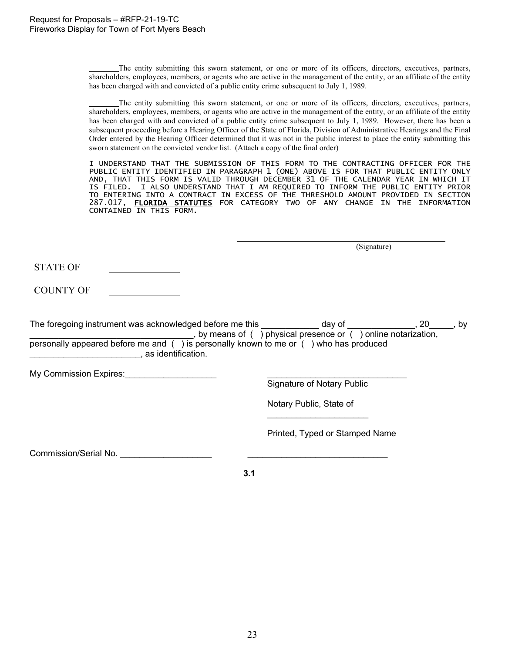The entity submitting this sworn statement, or one or more of its officers, directors, executives, partners, shareholders, employees, members, or agents who are active in the management of the entity, or an affiliate of the entity has been charged with and convicted of a public entity crime subsequent to July 1, 1989.

The entity submitting this sworn statement, or one or more of its officers, directors, executives, partners, shareholders, employees, members, or agents who are active in the management of the entity, or an affiliate of the entity has been charged with and convicted of a public entity crime subsequent to July 1, 1989. However, there has been a subsequent proceeding before a Hearing Officer of the State of Florida, Division of Administrative Hearings and the Final Order entered by the Hearing Officer determined that it was not in the public interest to place the entity submitting this sworn statement on the convicted vendor list. (Attach a copy of the final order)

I UNDERSTAND THAT THE SUBMISSION OF THIS FORM TO THE CONTRACTING OFFICER FOR THE PUBLIC ENTITY IDENTIFIED IN PARAGRAPH 1 (ONE) ABOVE IS FOR THAT PUBLIC ENTITY ONLY AND, THAT THIS FORM IS VALID THROUGH DECEMBER 31 OF THE CALENDAR YEAR IN WHICH IT IS FILED. I ALSO UNDERSTAND THAT I AM REQUIRED TO INFORM THE PUBLIC ENTITY PRIOR TO ENTERING INTO A CONTRACT IN EXCESS OF THE THRESHOLD AMOUNT PROVIDED IN SECTION 287.017, <mark>FLORIDA STATUTES</mark> FOR CATEGORY TWO OF ANY CHANGE IN THE INFORMATION CONTAINED IN THIS FORM.

(Signature)

STATE OF

COUNTY OF

| The foregoing instrument was acknowledged before me this                              | dav of                                                              | bv |
|---------------------------------------------------------------------------------------|---------------------------------------------------------------------|----|
|                                                                                       | , by means of $( )$ physical presence or $( )$ online notarization, |    |
| personally appeared before me and () is personally known to me or () who has produced |                                                                     |    |
| as identification.                                                                    |                                                                     |    |

My Commission Expires:

Signature of Notary Public

Notary Public, State of  $\overline{\phantom{a}}$  , where  $\overline{\phantom{a}}$  , where  $\overline{\phantom{a}}$  , where  $\overline{\phantom{a}}$ 

Printed, Typed or Stamped Name

Commission/Serial No.

**3.1**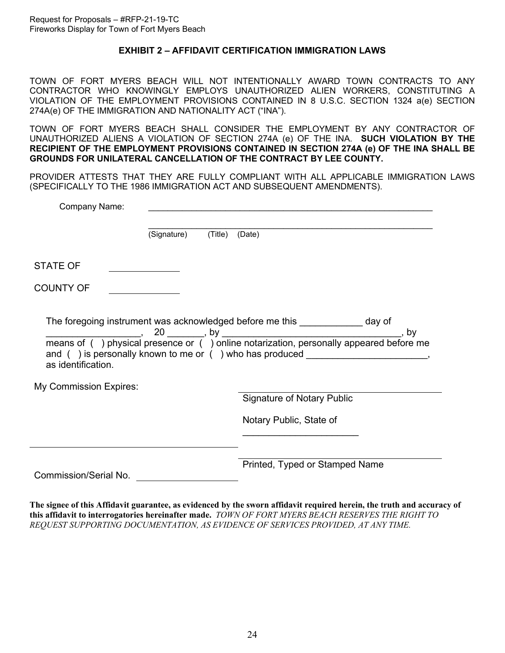#### **EXHIBIT 2 – AFFIDAVIT CERTIFICATION IMMIGRATION LAWS**

<span id="page-23-0"></span>TOWN OF FORT MYERS BEACH WILL NOT INTENTIONALLY AWARD TOWN CONTRACTS TO ANY CONTRACTOR WHO KNOWINGLY EMPLOYS UNAUTHORIZED ALIEN WORKERS, CONSTITUTING A VIOLATION OF THE EMPLOYMENT PROVISIONS CONTAINED IN 8 U.S.C. SECTION 1324 a(e) SECTION 274A(e) OF THE IMMIGRATION AND NATIONALITY ACT ("INA").

TOWN OF FORT MYERS BEACH SHALL CONSIDER THE EMPLOYMENT BY ANY CONTRACTOR OF UNAUTHORIZED ALIENS A VIOLATION OF SECTION 274A (e) OF THE INA. **SUCH VIOLATION BY THE RECIPIENT OF THE EMPLOYMENT PROVISIONS CONTAINED IN SECTION 274A (e) OF THE INA SHALL BE GROUNDS FOR UNILATERAL CANCELLATION OF THE CONTRACT BY LEE COUNTY.**

PROVIDER ATTESTS THAT THEY ARE FULLY COMPLIANT WITH ALL APPLICABLE IMMIGRATION LAWS (SPECIFICALLY TO THE 1986 IMMIGRATION ACT AND SUBSEQUENT AMENDMENTS).

| Company Name:          |             |                |                                                                                                                                                                   |
|------------------------|-------------|----------------|-------------------------------------------------------------------------------------------------------------------------------------------------------------------|
|                        | (Signature) | (Title) (Date) |                                                                                                                                                                   |
| <b>STATE OF</b>        |             |                |                                                                                                                                                                   |
| <b>COUNTY OF</b>       |             |                |                                                                                                                                                                   |
| as identification.     |             |                | The foregoing instrument was acknowledged before me this _____________ day of<br>and () is personally known to me or () who has produced ________________________ |
| My Commission Expires: |             |                | <b>Signature of Notary Public</b>                                                                                                                                 |
|                        |             |                | Notary Public, State of                                                                                                                                           |
| Commission/Serial No.  |             |                | Printed, Typed or Stamped Name                                                                                                                                    |

**The signee of this Affidavit guarantee, as evidenced by the sworn affidavit required herein, the truth and accuracy of this affidavit to interrogatories hereinafter made.** *TOWN OF FORT MYERS BEACH RESERVES THE RIGHT TO REQUEST SUPPORTING DOCUMENTATION, AS EVIDENCE OF SERVICES PROVIDED, AT ANY TIME.*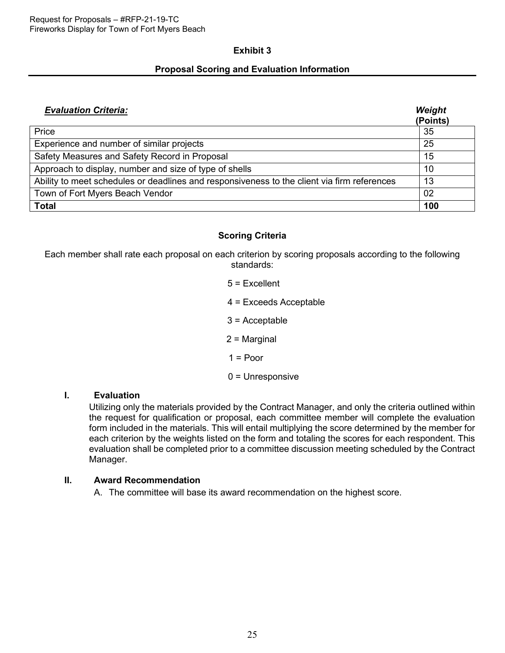#### **Exhibit 3**

#### **Proposal Scoring and Evaluation Information**

| <b>Evaluation Criteria:</b>                                                                 | Weight<br>(Points) |
|---------------------------------------------------------------------------------------------|--------------------|
| Price                                                                                       | 35                 |
| Experience and number of similar projects                                                   | 25                 |
| Safety Measures and Safety Record in Proposal                                               | 15                 |
| Approach to display, number and size of type of shells                                      | 10                 |
| Ability to meet schedules or deadlines and responsiveness to the client via firm references | 13                 |
| Town of Fort Myers Beach Vendor                                                             | 02                 |
| <b>Total</b>                                                                                | 100                |

# **Scoring Criteria**

Each member shall rate each proposal on each criterion by scoring proposals according to the following standards:

> $5 =$ Fxcellent 4 = Exceeds Acceptable 3 = Acceptable 2 = Marginal  $1 =$  Poor 0 = Unresponsive

# **I. Evaluation**

Utilizing only the materials provided by the Contract Manager, and only the criteria outlined within the request for qualification or proposal, each committee member will complete the evaluation form included in the materials. This will entail multiplying the score determined by the member for each criterion by the weights listed on the form and totaling the scores for each respondent. This evaluation shall be completed prior to a committee discussion meeting scheduled by the Contract Manager.

#### **II. Award Recommendation**

A. The committee will base its award recommendation on the highest score.